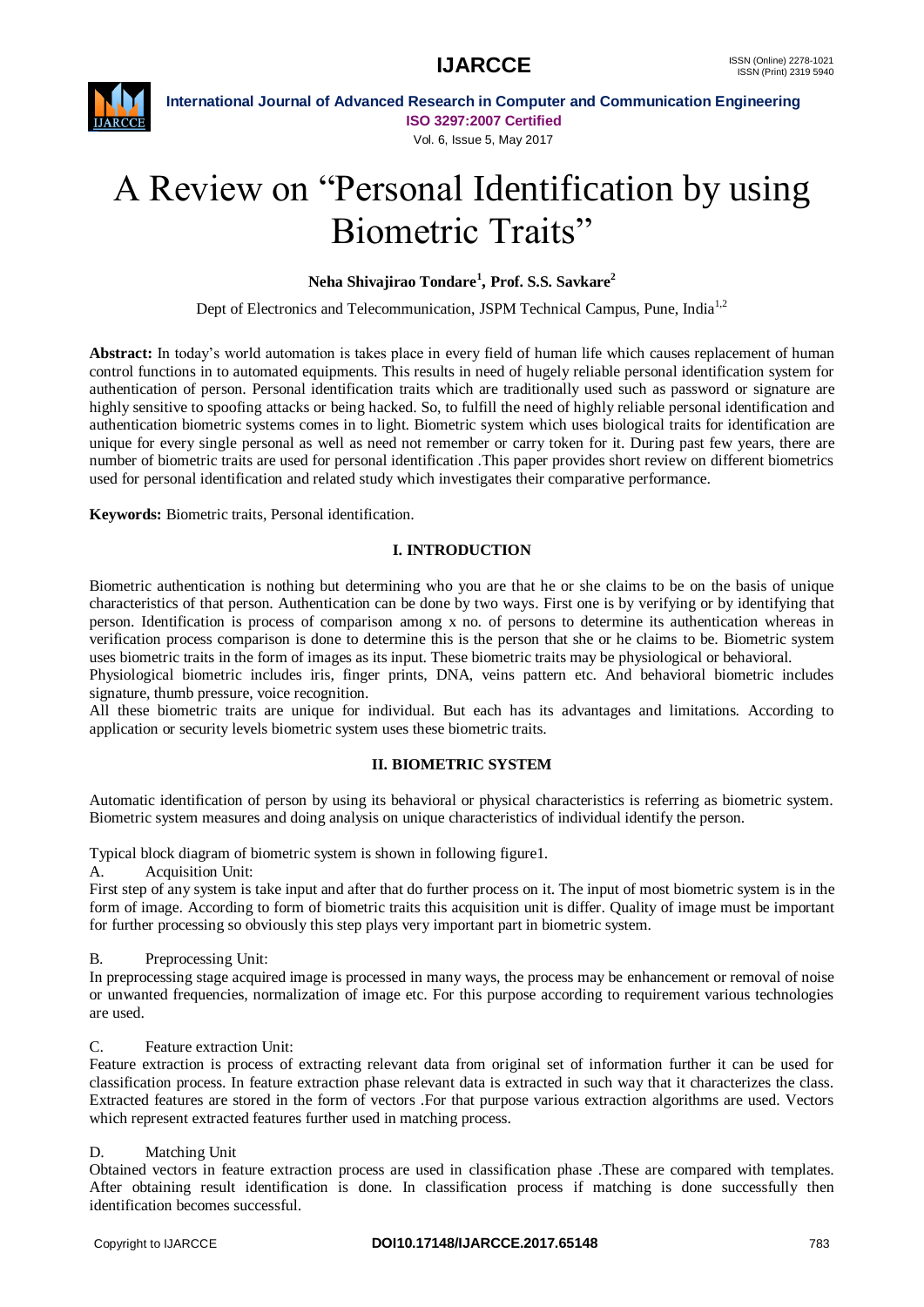

**International Journal of Advanced Research in Computer and Communication Engineering ISO 3297:2007 Certified**

Vol. 6, Issue 5, May 2017

# A Review on "Personal Identification by using Biometric Traits"

### **Neha Shivajirao Tondare<sup>1</sup> , Prof. S.S. Savkare<sup>2</sup>**

Dept of Electronics and Telecommunication, JSPM Technical Campus, Pune, India<sup>1,2</sup>

**Abstract:** In today's world automation is takes place in every field of human life which causes replacement of human control functions in to automated equipments. This results in need of hugely reliable personal identification system for authentication of person. Personal identification traits which are traditionally used such as password or signature are highly sensitive to spoofing attacks or being hacked. So, to fulfill the need of highly reliable personal identification and authentication biometric systems comes in to light. Biometric system which uses biological traits for identification are unique for every single personal as well as need not remember or carry token for it. During past few years, there are number of biometric traits are used for personal identification .This paper provides short review on different biometrics used for personal identification and related study which investigates their comparative performance.

**Keywords:** Biometric traits, Personal identification.

#### **I. INTRODUCTION**

Biometric authentication is nothing but determining who you are that he or she claims to be on the basis of unique characteristics of that person. Authentication can be done by two ways. First one is by verifying or by identifying that person. Identification is process of comparison among x no. of persons to determine its authentication whereas in verification process comparison is done to determine this is the person that she or he claims to be. Biometric system uses biometric traits in the form of images as its input. These biometric traits may be physiological or behavioral.

Physiological biometric includes iris, finger prints, DNA, veins pattern etc. And behavioral biometric includes signature, thumb pressure, voice recognition.

All these biometric traits are unique for individual. But each has its advantages and limitations. According to application or security levels biometric system uses these biometric traits.

#### **II. BIOMETRIC SYSTEM**

Automatic identification of person by using its behavioral or physical characteristics is referring as biometric system. Biometric system measures and doing analysis on unique characteristics of individual identify the person.

Typical block diagram of biometric system is shown in following figure1.

A. Acquisition Unit:

First step of any system is take input and after that do further process on it. The input of most biometric system is in the form of image. According to form of biometric traits this acquisition unit is differ. Quality of image must be important for further processing so obviously this step plays very important part in biometric system.

B. Preprocessing Unit:

In preprocessing stage acquired image is processed in many ways, the process may be enhancement or removal of noise or unwanted frequencies, normalization of image etc. For this purpose according to requirement various technologies are used.

#### C. Feature extraction Unit:

Feature extraction is process of extracting relevant data from original set of information further it can be used for classification process. In feature extraction phase relevant data is extracted in such way that it characterizes the class. Extracted features are stored in the form of vectors .For that purpose various extraction algorithms are used. Vectors which represent extracted features further used in matching process.

#### D. Matching Unit

Obtained vectors in feature extraction process are used in classification phase .These are compared with templates. After obtaining result identification is done. In classification process if matching is done successfully then identification becomes successful.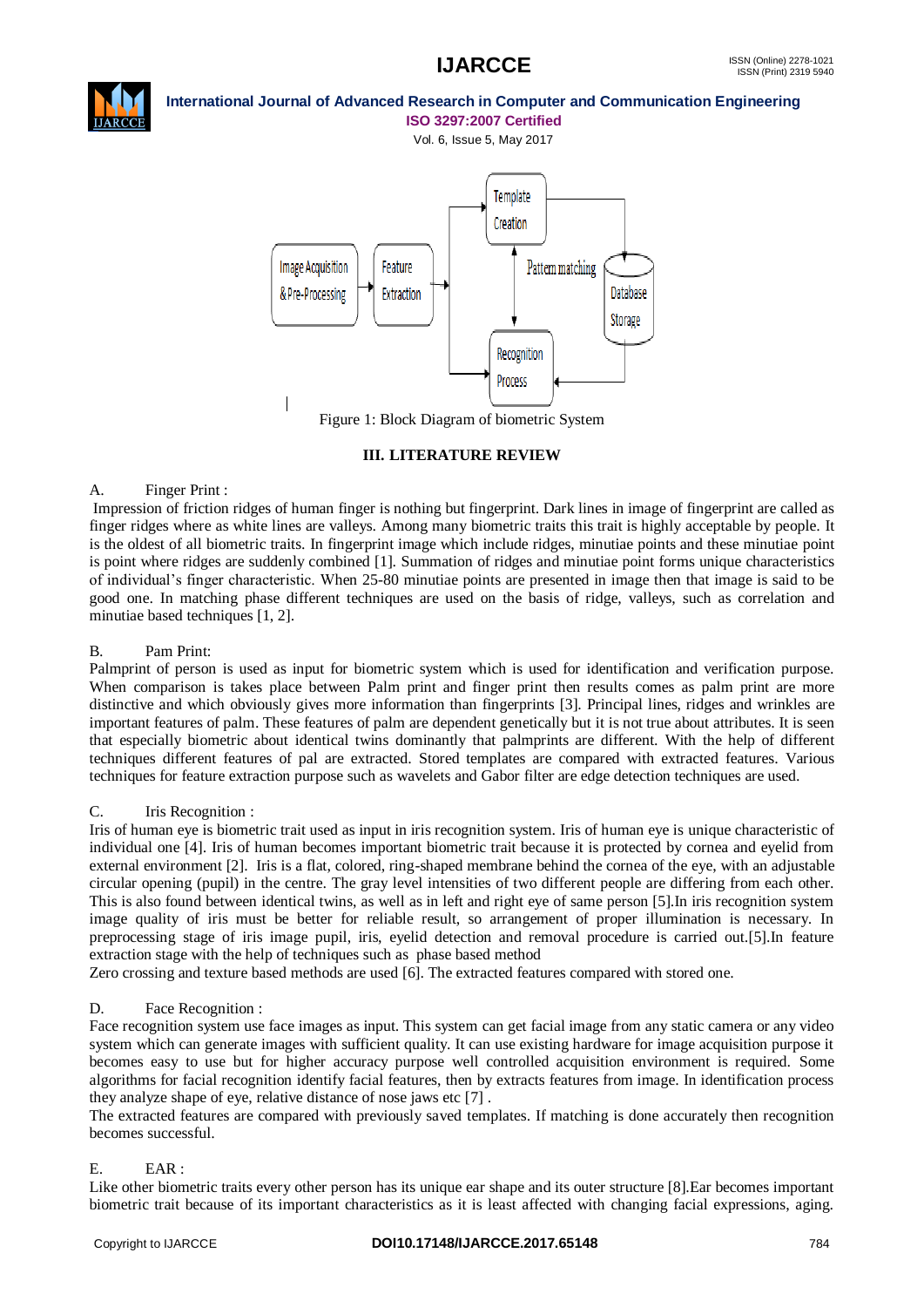

## **International Journal of Advanced Research in Computer and Communication Engineering**

**ISO 3297:2007 Certified** Vol. 6, Issue 5, May 2017



Figure 1: Block Diagram of biometric System

#### **III. LITERATURE REVIEW**

#### A. Finger Print :

Impression of friction ridges of human finger is nothing but fingerprint. Dark lines in image of fingerprint are called as finger ridges where as white lines are valleys. Among many biometric traits this trait is highly acceptable by people. It is the oldest of all biometric traits. In fingerprint image which include ridges, minutiae points and these minutiae point is point where ridges are suddenly combined [1]. Summation of ridges and minutiae point forms unique characteristics of individual's finger characteristic. When 25-80 minutiae points are presented in image then that image is said to be good one. In matching phase different techniques are used on the basis of ridge, valleys, such as correlation and minutiae based techniques [1, 2].

### B. Pam Print:

Palmprint of person is used as input for biometric system which is used for identification and verification purpose. When comparison is takes place between Palm print and finger print then results comes as palm print are more distinctive and which obviously gives more information than fingerprints [3]. Principal lines, ridges and wrinkles are important features of palm. These features of palm are dependent genetically but it is not true about attributes. It is seen that especially biometric about identical twins dominantly that palmprints are different. With the help of different techniques different features of pal are extracted. Stored templates are compared with extracted features. Various techniques for feature extraction purpose such as wavelets and Gabor filter are edge detection techniques are used.

#### C. Iris Recognition :

Iris of human eye is biometric trait used as input in iris recognition system. Iris of human eye is unique characteristic of individual one [4]. Iris of human becomes important biometric trait because it is protected by cornea and eyelid from external environment [2]. Iris is a flat, colored, ring-shaped membrane behind the cornea of the eye, with an adjustable circular opening (pupil) in the centre. The gray level intensities of two different people are differing from each other. This is also found between identical twins, as well as in left and right eye of same person [5].In iris recognition system image quality of iris must be better for reliable result, so arrangement of proper illumination is necessary. In preprocessing stage of iris image pupil, iris, eyelid detection and removal procedure is carried out.[5].In feature extraction stage with the help of techniques such as phase based method

Zero crossing and texture based methods are used [6]. The extracted features compared with stored one.

#### D. Face Recognition :

Face recognition system use face images as input. This system can get facial image from any static camera or any video system which can generate images with sufficient quality. It can use existing hardware for image acquisition purpose it becomes easy to use but for higher accuracy purpose well controlled acquisition environment is required. Some algorithms for facial recognition identify facial features, then by extracts features from image. In identification process they analyze shape of eye, relative distance of nose jaws etc [7] .

The extracted features are compared with previously saved templates. If matching is done accurately then recognition becomes successful.

#### E. EAR :

Like other biometric traits every other person has its unique ear shape and its outer structure [8].Ear becomes important biometric trait because of its important characteristics as it is least affected with changing facial expressions, aging.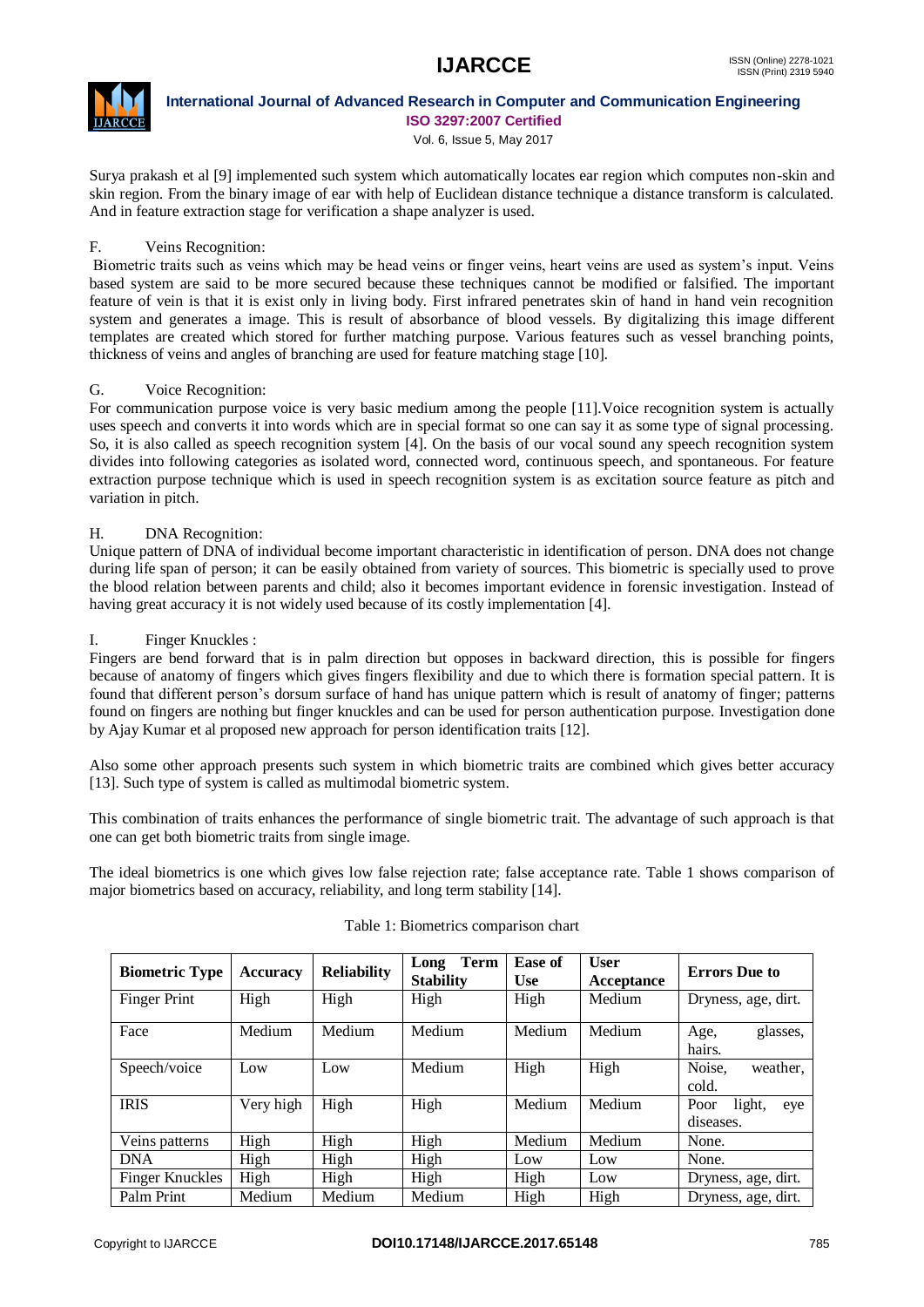

#### **International Journal of Advanced Research in Computer and Communication Engineering ISO 3297:2007 Certified**

Vol. 6, Issue 5, May 2017

Surya prakash et al [9] implemented such system which automatically locates ear region which computes non-skin and skin region. From the binary image of ear with help of Euclidean distance technique a distance transform is calculated. And in feature extraction stage for verification a shape analyzer is used.

#### F. Veins Recognition:

Biometric traits such as veins which may be head veins or finger veins, heart veins are used as system's input. Veins based system are said to be more secured because these techniques cannot be modified or falsified. The important feature of vein is that it is exist only in living body. First infrared penetrates skin of hand in hand vein recognition system and generates a image. This is result of absorbance of blood vessels. By digitalizing this image different templates are created which stored for further matching purpose. Various features such as vessel branching points, thickness of veins and angles of branching are used for feature matching stage [10].

#### G. Voice Recognition:

For communication purpose voice is very basic medium among the people [11].Voice recognition system is actually uses speech and converts it into words which are in special format so one can say it as some type of signal processing. So, it is also called as speech recognition system [4]. On the basis of our vocal sound any speech recognition system divides into following categories as isolated word, connected word, continuous speech, and spontaneous. For feature extraction purpose technique which is used in speech recognition system is as excitation source feature as pitch and variation in pitch.

#### H. DNA Recognition:

Unique pattern of DNA of individual become important characteristic in identification of person. DNA does not change during life span of person; it can be easily obtained from variety of sources. This biometric is specially used to prove the blood relation between parents and child; also it becomes important evidence in forensic investigation. Instead of having great accuracy it is not widely used because of its costly implementation [4].

#### I. Finger Knuckles :

Fingers are bend forward that is in palm direction but opposes in backward direction, this is possible for fingers because of anatomy of fingers which gives fingers flexibility and due to which there is formation special pattern. It is found that different person's dorsum surface of hand has unique pattern which is result of anatomy of finger; patterns found on fingers are nothing but finger knuckles and can be used for person authentication purpose. Investigation done by Ajay Kumar et al proposed new approach for person identification traits [12].

Also some other approach presents such system in which biometric traits are combined which gives better accuracy [13]. Such type of system is called as multimodal biometric system.

This combination of traits enhances the performance of single biometric trait. The advantage of such approach is that one can get both biometric traits from single image.

The ideal biometrics is one which gives low false rejection rate; false acceptance rate. Table 1 shows comparison of major biometrics based on accuracy, reliability, and long term stability [14].

| <b>Biometric Type</b>  | <b>Accuracy</b> | <b>Reliability</b> | Term<br>Long<br><b>Stability</b> | Ease of<br><b>Use</b> | <b>User</b><br>Acceptance | <b>Errors</b> Due to               |
|------------------------|-----------------|--------------------|----------------------------------|-----------------------|---------------------------|------------------------------------|
| <b>Finger Print</b>    | High            | High               | High                             | High                  | Medium                    | Dryness, age, dirt.                |
| Face                   | Medium          | Medium             | Medium                           | Medium                | Medium                    | glasses,<br>Age,<br>hairs.         |
| Speech/voice           | Low             | Low                | Medium                           | High                  | High                      | Noise.<br>weather.<br>cold.        |
| <b>IRIS</b>            | Very high       | High               | High                             | Medium                | Medium                    | Poor<br>light,<br>eye<br>diseases. |
| Veins patterns         | High            | High               | High                             | Medium                | Medium                    | None.                              |
| <b>DNA</b>             | High            | High               | High                             | Low                   | Low                       | None.                              |
| <b>Finger Knuckles</b> | High            | High               | High                             | High                  | Low                       | Dryness, age, dirt.                |
| Palm Print             | Medium          | Medium             | Medium                           | High                  | High                      | Dryness, age, dirt.                |

#### Table 1: Biometrics comparison chart